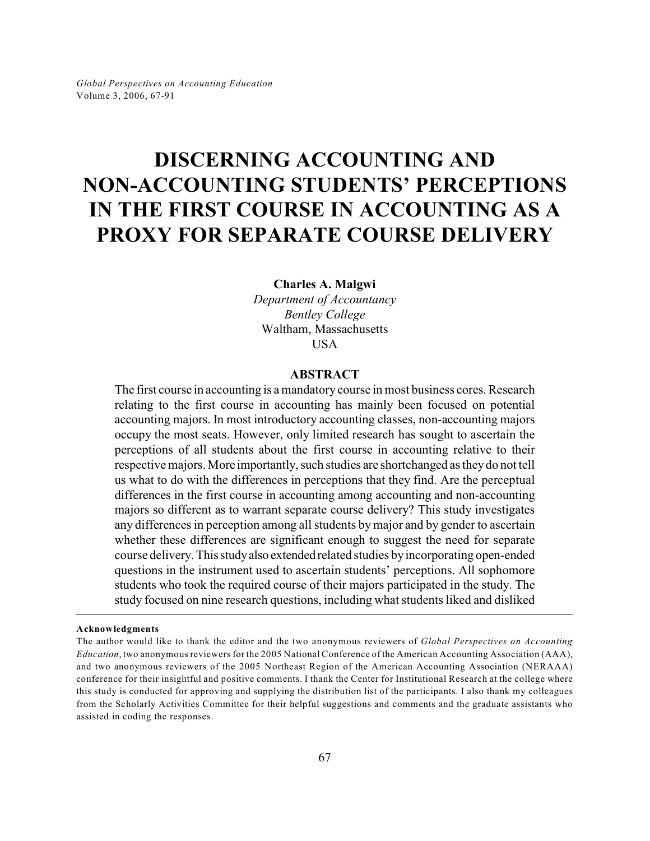# **DISCERNING ACCOUNTING AND NON-ACCOUNTING STUDENTS' PERCEPTIONS IN THE FIRST COURSE IN ACCOUNTING AS A PROXY FOR SEPARATE COURSE DELIVERY**

**Charles A. Malgwi**

*Department of Accountancy Bentley College* Waltham, Massachusetts **USA** 

## **ABSTRACT**

The first course in accounting is a mandatory course in most business cores. Research relating to the first course in accounting has mainly been focused on potential accounting majors. In most introductory accounting classes, non-accounting majors occupy the most seats. However, only limited research has sought to ascertain the perceptions of all students about the first course in accounting relative to their respective majors. More importantly, such studies are shortchanged as they do not tell us what to do with the differences in perceptions that they find. Are the perceptual differences in the first course in accounting among accounting and non-accounting majors so different as to warrant separate course delivery? This study investigates any differences in perception among all students by major and by gender to ascertain whether these differences are significant enough to suggest the need for separate course delivery. This study also extended related studies by incorporating open-ended questions in the instrument used to ascertain students' perceptions. All sophomore students who took the required course of their majors participated in the study. The study focused on nine research questions, including what students liked and disliked

**Acknowledgments**

The author would like to thank the editor and the two anonymous reviewers of *Global Perspectives on Accounting Education*, two anonymous reviewers for the 2005 National Conference of the American Accounting Association (AAA), and two anonymous reviewers of the 2005 Northeast Region of the American Accounting Association (NERAAA) conference for their insightful and positive comments. I thank the Center for Institutional Research at the college where this study is conducted for approving and supplying the distribution list of the participants. I also thank my colleagues from the Scholarly Activities Committee for their helpful suggestions and comments and the graduate assistants who assisted in coding the responses.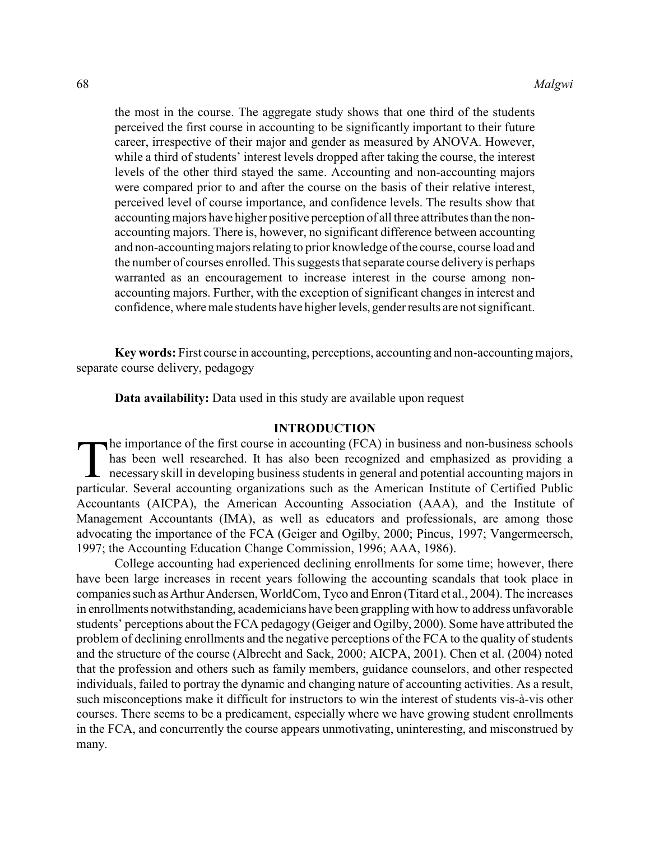the most in the course. The aggregate study shows that one third of the students perceived the first course in accounting to be significantly important to their future career, irrespective of their major and gender as measured by ANOVA. However, while a third of students' interest levels dropped after taking the course, the interest levels of the other third stayed the same. Accounting and non-accounting majors were compared prior to and after the course on the basis of their relative interest, perceived level of course importance, and confidence levels. The results show that accounting majors have higher positive perception of all three attributes than the nonaccounting majors. There is, however, no significant difference between accounting and non-accountingmajors relating to prior knowledge of the course, course load and the number of courses enrolled. This suggests that separate course delivery is perhaps warranted as an encouragement to increase interest in the course among nonaccounting majors. Further, with the exception of significant changes in interest and confidence, where male students have higher levels, gender results are not significant.

**Key words:** First course in accounting, perceptions, accounting and non-accounting majors, separate course delivery, pedagogy

**Data availability:** Data used in this study are available upon request

## **INTRODUCTION**

 $\prod_{\text{partic}}$ he importance of the first course in accounting (FCA) in business and non-business schools has been well researched. It has also been recognized and emphasized as providing a necessary skill in developing business students in general and potential accounting majors in particular. Several accounting organizations such as the American Institute of Certified Public Accountants (AICPA), the American Accounting Association (AAA), and the Institute of Management Accountants (IMA), as well as educators and professionals, are among those advocating the importance of the FCA (Geiger and Ogilby, 2000; Pincus, 1997; Vangermeersch, 1997; the Accounting Education Change Commission, 1996; AAA, 1986).

College accounting had experienced declining enrollments for some time; however, there have been large increases in recent years following the accounting scandals that took place in companies such as Arthur Andersen, WorldCom, Tyco and Enron (Titard et al., 2004). The increases in enrollments notwithstanding, academicians have been grappling with how to address unfavorable students' perceptions about the FCA pedagogy (Geiger and Ogilby, 2000). Some have attributed the problem of declining enrollments and the negative perceptions of the FCA to the quality of students and the structure of the course (Albrecht and Sack, 2000; AICPA, 2001). Chen et al. (2004) noted that the profession and others such as family members, guidance counselors, and other respected individuals, failed to portray the dynamic and changing nature of accounting activities. As a result, such misconceptions make it difficult for instructors to win the interest of students vis-à-vis other courses. There seems to be a predicament, especially where we have growing student enrollments in the FCA, and concurrently the course appears unmotivating, uninteresting, and misconstrued by many.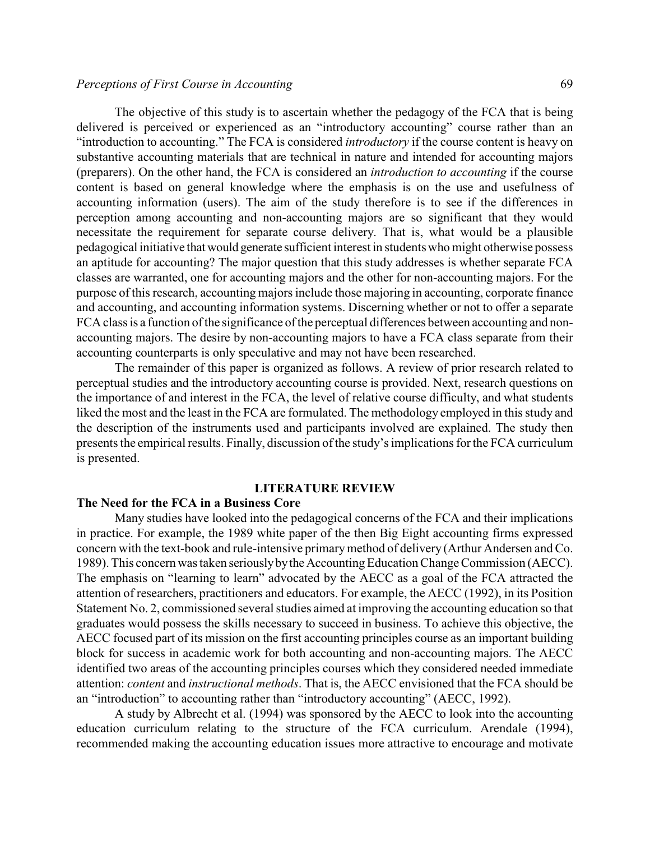The objective of this study is to ascertain whether the pedagogy of the FCA that is being delivered is perceived or experienced as an "introductory accounting" course rather than an "introduction to accounting." The FCA is considered *introductory* if the course content is heavy on substantive accounting materials that are technical in nature and intended for accounting majors (preparers). On the other hand, the FCA is considered an *introduction to accounting* if the course content is based on general knowledge where the emphasis is on the use and usefulness of accounting information (users). The aim of the study therefore is to see if the differences in perception among accounting and non-accounting majors are so significant that they would necessitate the requirement for separate course delivery. That is, what would be a plausible pedagogical initiative that would generate sufficient interest in students who might otherwise possess an aptitude for accounting? The major question that this study addresses is whether separate FCA classes are warranted, one for accounting majors and the other for non-accounting majors. For the purpose of this research, accounting majors include those majoring in accounting, corporate finance and accounting, and accounting information systems. Discerning whether or not to offer a separate FCA class is a function of the significance of the perceptual differences between accounting and nonaccounting majors. The desire by non-accounting majors to have a FCA class separate from their accounting counterparts is only speculative and may not have been researched.

The remainder of this paper is organized as follows. A review of prior research related to perceptual studies and the introductory accounting course is provided. Next, research questions on the importance of and interest in the FCA, the level of relative course difficulty, and what students liked the most and the least in the FCA are formulated. The methodology employed in this study and the description of the instruments used and participants involved are explained. The study then presents the empirical results. Finally, discussion ofthe study's implications forthe FCA curriculum is presented.

#### **LITERATURE REVIEW**

## **The Need for the FCA in a Business Core**

Many studies have looked into the pedagogical concerns of the FCA and their implications in practice. For example, the 1989 white paper of the then Big Eight accounting firms expressed concern with the text-book and rule-intensive primary method of delivery (Arthur Andersen and Co. 1989). This concern was taken seriously by the Accounting Education Change Commission (AECC). The emphasis on "learning to learn" advocated by the AECC as a goal of the FCA attracted the attention of researchers, practitioners and educators. For example, the AECC (1992), in its Position Statement No. 2, commissioned several studies aimed at improving the accounting education so that graduates would possess the skills necessary to succeed in business. To achieve this objective, the AECC focused part of its mission on the first accounting principles course as an important building block for success in academic work for both accounting and non-accounting majors. The AECC identified two areas of the accounting principles courses which they considered needed immediate attention: *content* and *instructional methods*. That is, the AECC envisioned that the FCA should be an "introduction" to accounting rather than "introductory accounting" (AECC, 1992).

A study by Albrecht et al. (1994) was sponsored by the AECC to look into the accounting education curriculum relating to the structure of the FCA curriculum. Arendale (1994), recommended making the accounting education issues more attractive to encourage and motivate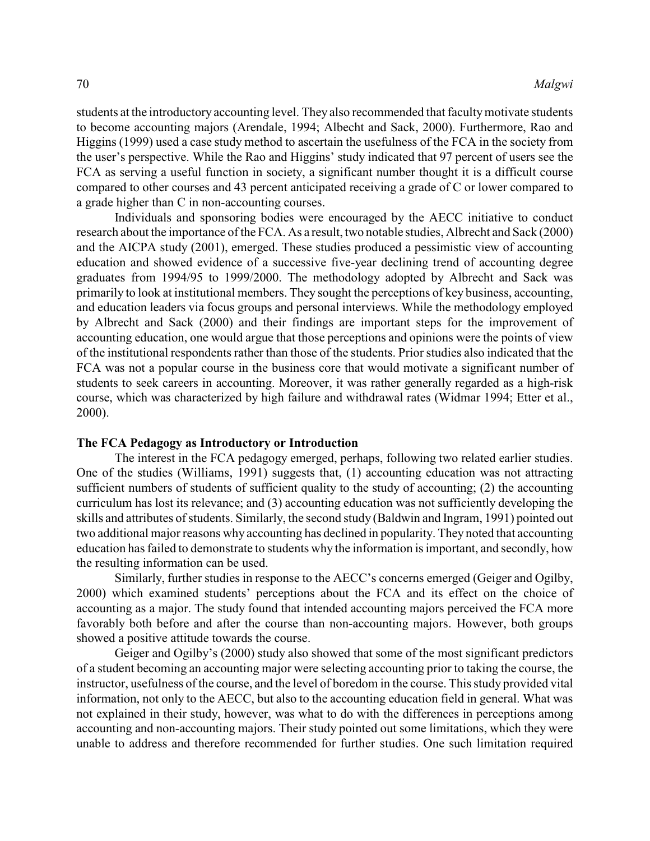students at the introductory accounting level. They also recommended that faculty motivate students to become accounting majors (Arendale, 1994; Albecht and Sack, 2000). Furthermore, Rao and Higgins (1999) used a case study method to ascertain the usefulness of the FCA in the society from the user's perspective. While the Rao and Higgins' study indicated that 97 percent of users see the FCA as serving a useful function in society, a significant number thought it is a difficult course compared to other courses and 43 percent anticipated receiving a grade of C or lower compared to a grade higher than C in non-accounting courses.

Individuals and sponsoring bodies were encouraged by the AECC initiative to conduct research about the importance of the FCA. As a result, two notable studies, Albrecht and Sack (2000) and the AICPA study (2001), emerged. These studies produced a pessimistic view of accounting education and showed evidence of a successive five-year declining trend of accounting degree graduates from 1994/95 to 1999/2000. The methodology adopted by Albrecht and Sack was primarily to look at institutional members. They sought the perceptions of key business, accounting, and education leaders via focus groups and personal interviews. While the methodology employed by Albrecht and Sack (2000) and their findings are important steps for the improvement of accounting education, one would argue that those perceptions and opinions were the points of view of the institutional respondents rather than those of the students. Prior studies also indicated that the FCA was not a popular course in the business core that would motivate a significant number of students to seek careers in accounting. Moreover, it was rather generally regarded as a high-risk course, which was characterized by high failure and withdrawal rates (Widmar 1994; Etter et al., 2000).

#### **The FCA Pedagogy as Introductory or Introduction**

The interest in the FCA pedagogy emerged, perhaps, following two related earlier studies. One of the studies (Williams, 1991) suggests that, (1) accounting education was not attracting sufficient numbers of students of sufficient quality to the study of accounting; (2) the accounting curriculum has lost its relevance; and (3) accounting education was not sufficiently developing the skills and attributes of students. Similarly, the second study (Baldwin and Ingram, 1991) pointed out two additional major reasons why accounting has declined in popularity. They noted that accounting education has failed to demonstrate to students why the information is important, and secondly, how the resulting information can be used.

Similarly, further studies in response to the AECC's concerns emerged (Geiger and Ogilby, 2000) which examined students' perceptions about the FCA and its effect on the choice of accounting as a major. The study found that intended accounting majors perceived the FCA more favorably both before and after the course than non-accounting majors. However, both groups showed a positive attitude towards the course.

Geiger and Ogilby's (2000) study also showed that some of the most significant predictors of a student becoming an accounting major were selecting accounting prior to taking the course, the instructor, usefulness of the course, and the level of boredom in the course. This study provided vital information, not only to the AECC, but also to the accounting education field in general. What was not explained in their study, however, was what to do with the differences in perceptions among accounting and non-accounting majors. Their study pointed out some limitations, which they were unable to address and therefore recommended for further studies. One such limitation required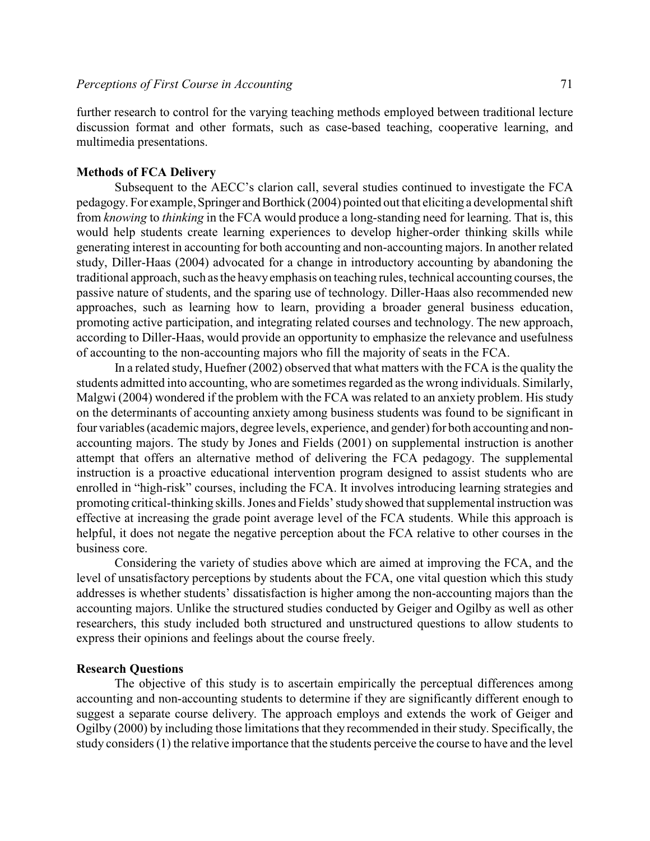further research to control for the varying teaching methods employed between traditional lecture discussion format and other formats, such as case-based teaching, cooperative learning, and multimedia presentations.

## **Methods of FCA Delivery**

Subsequent to the AECC's clarion call, several studies continued to investigate the FCA pedagogy. For example, Springer and Borthick (2004) pointed out that eliciting a developmental shift from *knowing* to *thinking* in the FCA would produce a long-standing need for learning. That is, this would help students create learning experiences to develop higher-order thinking skills while generating interest in accounting for both accounting and non-accounting majors. In another related study, Diller-Haas (2004) advocated for a change in introductory accounting by abandoning the traditional approach, such as the heavy emphasis on teaching rules, technical accounting courses, the passive nature of students, and the sparing use of technology. Diller-Haas also recommended new approaches, such as learning how to learn, providing a broader general business education, promoting active participation, and integrating related courses and technology. The new approach, according to Diller-Haas, would provide an opportunity to emphasize the relevance and usefulness of accounting to the non-accounting majors who fill the majority of seats in the FCA.

In a related study, Huefner (2002) observed that what matters with the FCA is the quality the students admitted into accounting, who are sometimes regarded as the wrong individuals. Similarly, Malgwi (2004) wondered if the problem with the FCA was related to an anxiety problem. His study on the determinants of accounting anxiety among business students was found to be significant in four variables (academic majors, degree levels, experience, and gender) for both accounting and nonaccounting majors. The study by Jones and Fields (2001) on supplemental instruction is another attempt that offers an alternative method of delivering the FCA pedagogy. The supplemental instruction is a proactive educational intervention program designed to assist students who are enrolled in "high-risk" courses, including the FCA. It involves introducing learning strategies and promoting critical-thinking skills. Jones and Fields' study showed that supplemental instruction was effective at increasing the grade point average level of the FCA students. While this approach is helpful, it does not negate the negative perception about the FCA relative to other courses in the business core.

Considering the variety of studies above which are aimed at improving the FCA, and the level of unsatisfactory perceptions by students about the FCA, one vital question which this study addresses is whether students' dissatisfaction is higher among the non-accounting majors than the accounting majors. Unlike the structured studies conducted by Geiger and Ogilby as well as other researchers, this study included both structured and unstructured questions to allow students to express their opinions and feelings about the course freely.

#### **Research Questions**

The objective of this study is to ascertain empirically the perceptual differences among accounting and non-accounting students to determine if they are significantly different enough to suggest a separate course delivery. The approach employs and extends the work of Geiger and Ogilby (2000) by including those limitations that they recommended in their study. Specifically, the study considers (1) the relative importance that the students perceive the course to have and the level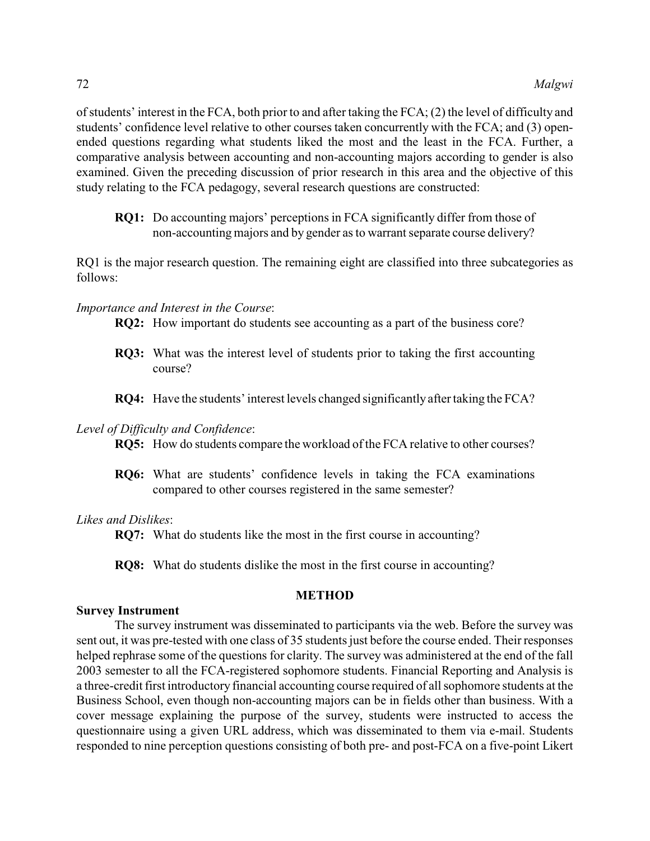of students' interest in the FCA, both prior to and after taking the FCA; (2) the level of difficulty and students' confidence level relative to other courses taken concurrently with the FCA; and (3) openended questions regarding what students liked the most and the least in the FCA. Further, a comparative analysis between accounting and non-accounting majors according to gender is also examined. Given the preceding discussion of prior research in this area and the objective of this study relating to the FCA pedagogy, several research questions are constructed:

**RQ1:** Do accounting majors' perceptions in FCA significantly differ from those of non-accounting majors and by gender as to warrant separate course delivery?

RQ1 is the major research question. The remaining eight are classified into three subcategories as follows:

#### *Importance and Interest in the Course*:

**RQ2:** How important do students see accounting as a part of the business core?

- **RQ3:** What was the interest level of students prior to taking the first accounting course?
- **RQ4:** Have the students' interest levels changed significantly after taking the FCA?

#### *Level of Difficulty and Confidence*:

**RQ5:** How do students compare the workload ofthe FCA relative to other courses?

**RQ6:** What are students' confidence levels in taking the FCA examinations compared to other courses registered in the same semester?

#### *Likes and Dislikes*:

**RQ7:** What do students like the most in the first course in accounting?

**RQ8:** What do students dislike the most in the first course in accounting?

## **METHOD**

#### **Survey Instrument**

The survey instrument was disseminated to participants via the web. Before the survey was sent out, it was pre-tested with one class of 35 students just before the course ended. Their responses helped rephrase some of the questions for clarity. The survey was administered at the end of the fall 2003 semester to all the FCA-registered sophomore students. Financial Reporting and Analysis is a three-credit first introductory financial accounting course required of all sophomore students at the Business School, even though non-accounting majors can be in fields other than business. With a cover message explaining the purpose of the survey, students were instructed to access the questionnaire using a given URL address, which was disseminated to them via e-mail. Students responded to nine perception questions consisting of both pre- and post-FCA on a five-point Likert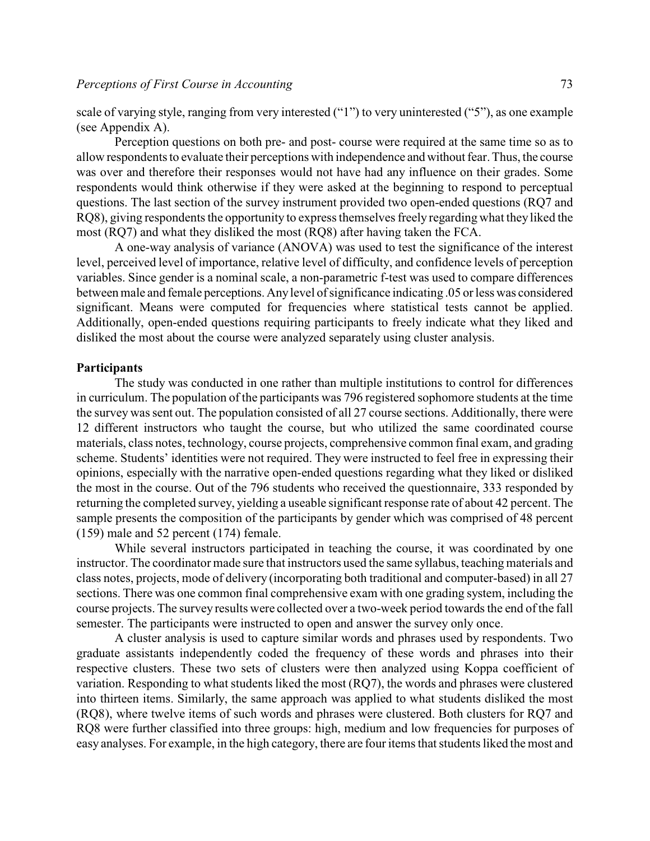scale of varying style, ranging from very interested ("1") to very uninterested ("5"), as one example (see Appendix A).

Perception questions on both pre- and post- course were required at the same time so as to allow respondents to evaluate their perceptions with independence and without fear. Thus, the course was over and therefore their responses would not have had any influence on their grades. Some respondents would think otherwise if they were asked at the beginning to respond to perceptual questions. The last section of the survey instrument provided two open-ended questions (RQ7 and RQ8), giving respondents the opportunity to express themselves freely regarding what theyliked the most (RQ7) and what they disliked the most (RQ8) after having taken the FCA.

A one-way analysis of variance (ANOVA) was used to test the significance of the interest level, perceived level of importance, relative level of difficulty, and confidence levels of perception variables. Since gender is a nominal scale, a non-parametric f-test was used to compare differences between male and female perceptions. Any level of significance indicating .05 or less was considered significant. Means were computed for frequencies where statistical tests cannot be applied. Additionally, open-ended questions requiring participants to freely indicate what they liked and disliked the most about the course were analyzed separately using cluster analysis.

#### **Participants**

The study was conducted in one rather than multiple institutions to control for differences in curriculum. The population of the participants was 796 registered sophomore students at the time the survey was sent out. The population consisted of all 27 course sections. Additionally, there were 12 different instructors who taught the course, but who utilized the same coordinated course materials, class notes, technology, course projects, comprehensive common final exam, and grading scheme. Students' identities were not required. They were instructed to feel free in expressing their opinions, especially with the narrative open-ended questions regarding what they liked or disliked the most in the course. Out of the 796 students who received the questionnaire, 333 responded by returning the completed survey, yielding a useable significant response rate of about 42 percent. The sample presents the composition of the participants by gender which was comprised of 48 percent (159) male and 52 percent (174) female.

While several instructors participated in teaching the course, it was coordinated by one instructor. The coordinator made sure that instructors used the same syllabus, teaching materials and class notes, projects, mode of delivery (incorporating both traditional and computer-based) in all 27 sections. There was one common final comprehensive exam with one grading system, including the course projects. The survey results were collected over a two-week period towards the end of the fall semester. The participants were instructed to open and answer the survey only once.

A cluster analysis is used to capture similar words and phrases used by respondents. Two graduate assistants independently coded the frequency of these words and phrases into their respective clusters. These two sets of clusters were then analyzed using Koppa coefficient of variation. Responding to what students liked the most (RQ7), the words and phrases were clustered into thirteen items. Similarly, the same approach was applied to what students disliked the most (RQ8), where twelve items of such words and phrases were clustered. Both clusters for RQ7 and RQ8 were further classified into three groups: high, medium and low frequencies for purposes of easy analyses. For example, in the high category, there are four items that students liked the most and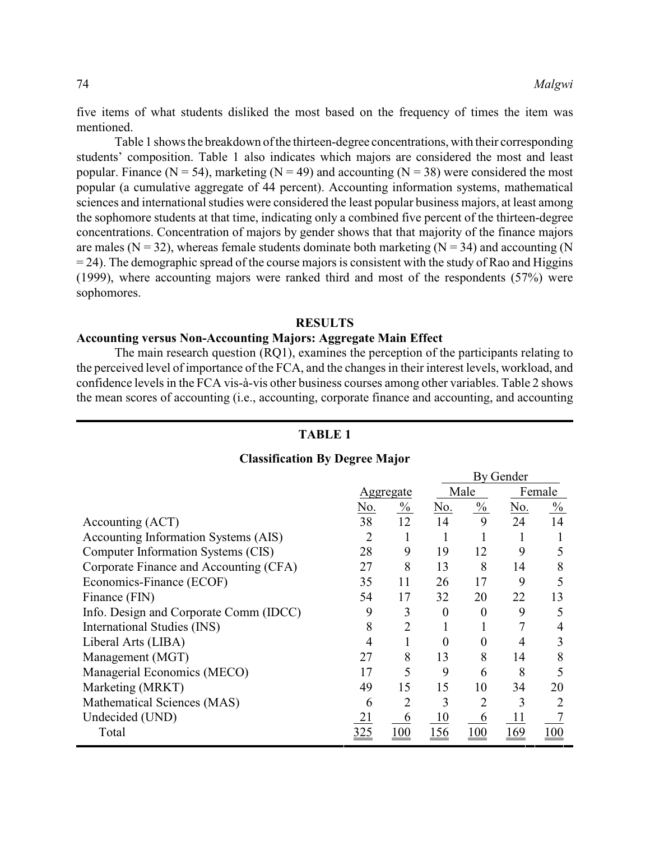five items of what students disliked the most based on the frequency of times the item was mentioned.

Table 1 shows the breakdown of the thirteen-degree concentrations, with their corresponding students' composition. Table 1 also indicates which majors are considered the most and least popular. Finance ( $N = 54$ ), marketing ( $N = 49$ ) and accounting ( $N = 38$ ) were considered the most popular (a cumulative aggregate of 44 percent). Accounting information systems, mathematical sciences and international studies were considered the least popular business majors, at least among the sophomore students at that time, indicating only a combined five percent of the thirteen-degree concentrations. Concentration of majors by gender shows that that majority of the finance majors are males ( $N = 32$ ), whereas female students dominate both marketing ( $N = 34$ ) and accounting (N  $= 24$ ). The demographic spread of the course majors is consistent with the study of Rao and Higgins (1999), where accounting majors were ranked third and most of the respondents (57%) were sophomores.

## **RESULTS**

## **Accounting versus Non-Accounting Majors: Aggregate Main Effect**

The main research question (RQ1), examines the perception of the participants relating to the perceived level of importance of the FCA, and the changes in their interest levels, workload, and confidence levels in the FCA vis-à-vis other business courses among other variables. Table 2 shows the mean scores of accounting (i.e., accounting, corporate finance and accounting, and accounting

## **TABLE 1**

## **Classification By Degree Major**

|                                        |     |                |          | <b>By Gender</b> |     |               |
|----------------------------------------|-----|----------------|----------|------------------|-----|---------------|
|                                        |     | Aggregate      |          | Male             |     | Female        |
|                                        | No. | $\frac{0}{0}$  | No.      | $\frac{0}{0}$    | No. | $\frac{0}{0}$ |
| Accounting (ACT)                       | 38  | 12             | 14       | 9                | 24  | 14            |
| Accounting Information Systems (AIS)   | 2   |                |          |                  |     |               |
| Computer Information Systems (CIS)     | 28  | 9              | 19       | 12               | 9   |               |
| Corporate Finance and Accounting (CFA) | 27  | 8              | 13       | 8                | 14  | 8             |
| Economics-Finance (ECOF)               | 35  | 11             | 26       | 17               | 9   |               |
| Finance (FIN)                          | 54  | 17             | 32       | 20               | 22  | 13            |
| Info. Design and Corporate Comm (IDCC) | 9   | 3              | $\theta$ | 0                | 9   | 5             |
| International Studies (INS)            | 8   | 2              |          |                  |     |               |
| Liberal Arts (LIBA)                    | 4   |                | $\Omega$ |                  |     | 3             |
| Management (MGT)                       | 27  | 8              | 13       | 8                | 14  |               |
| Managerial Economics (MECO)            | 17  | 5              | 9        | 6                | 8   |               |
| Marketing (MRKT)                       | 49  | 15             | 15       | 10               | 34  | 20            |
| Mathematical Sciences (MAS)            | 6   | $\overline{2}$ | 3        |                  | 3   |               |
| Undecided (UND)                        |     | 6              | 10       | 6                |     |               |
| Total                                  |     |                |          |                  | -69 |               |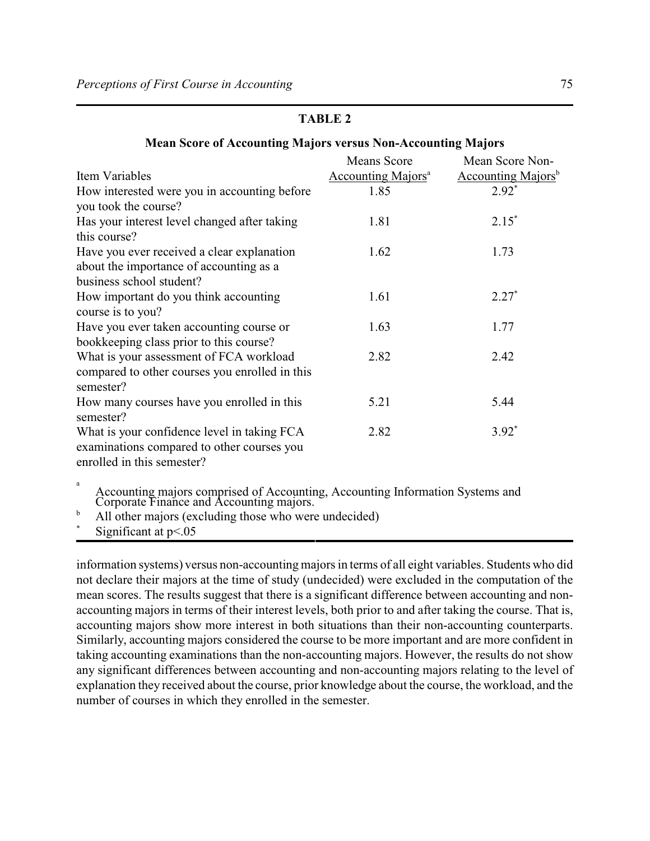## **Mean Score of Accounting Majors versus Non-Accounting Majors**

|                                                | <b>Means Score</b>                    | Mean Score Non-                       |
|------------------------------------------------|---------------------------------------|---------------------------------------|
| Item Variables                                 | <b>Accounting Majors</b> <sup>a</sup> | <b>Accounting Majors</b> <sup>b</sup> |
| How interested were you in accounting before   | 1.85                                  | $2.92*$                               |
| you took the course?                           |                                       |                                       |
| Has your interest level changed after taking   | 1.81                                  | $2.15*$                               |
| this course?                                   |                                       |                                       |
| Have you ever received a clear explanation     | 1.62                                  | 1.73                                  |
| about the importance of accounting as a        |                                       |                                       |
| business school student?                       |                                       |                                       |
| How important do you think accounting          | 1.61                                  | $2.27*$                               |
| course is to you?                              |                                       |                                       |
| Have you ever taken accounting course or       | 1.63                                  | 1.77                                  |
| bookkeeping class prior to this course?        |                                       |                                       |
| What is your assessment of FCA workload        | 2.82                                  | 2.42                                  |
| compared to other courses you enrolled in this |                                       |                                       |
| semester?                                      |                                       |                                       |
| How many courses have you enrolled in this     | 5.21                                  | 5.44                                  |
| semester?                                      |                                       |                                       |
| What is your confidence level in taking FCA    | 2.82                                  | $3.92*$                               |
| examinations compared to other courses you     |                                       |                                       |
| enrolled in this semester?                     |                                       |                                       |
| a                                              |                                       |                                       |

Accounting majors comprised of Accounting, Accounting Information Systems and Corporate Finance and Accounting majors.

 $b$  All other majors (excluding those who were undecided)

Significant at  $p<.05$ 

information systems) versus non-accounting majors in terms of all eight variables. Students who did not declare their majors at the time of study (undecided) were excluded in the computation of the mean scores. The results suggest that there is a significant difference between accounting and nonaccounting majors in terms of their interest levels, both prior to and after taking the course. That is, accounting majors show more interest in both situations than their non-accounting counterparts. Similarly, accounting majors considered the course to be more important and are more confident in taking accounting examinations than the non-accounting majors. However, the results do not show any significant differences between accounting and non-accounting majors relating to the level of explanation they received about the course, prior knowledge about the course, the workload, and the number of courses in which they enrolled in the semester.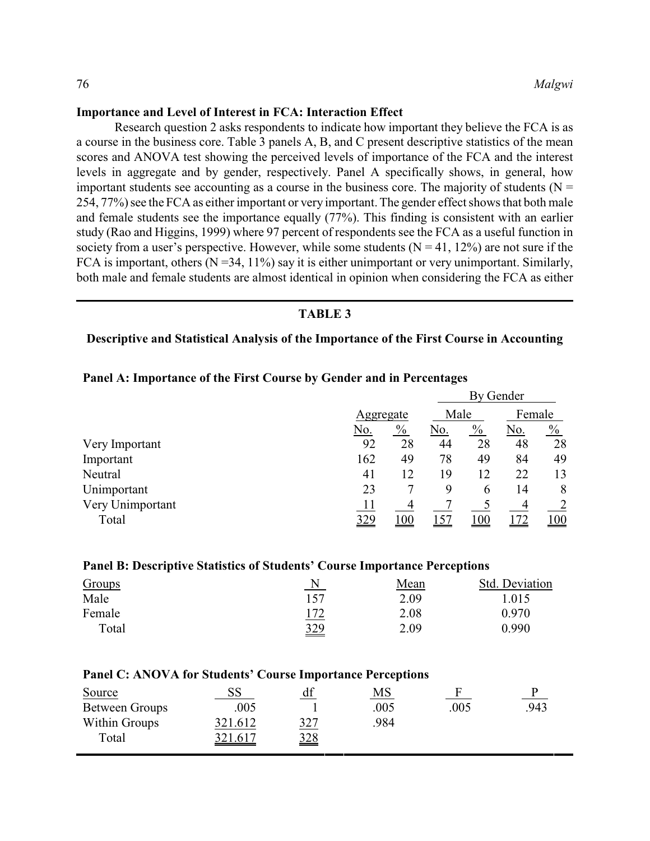## **Importance and Level of Interest in FCA: Interaction Effect**

Research question 2 asks respondents to indicate how important they believe the FCA is as a course in the business core. Table 3 panels A, B, and C present descriptive statistics of the mean scores and ANOVA test showing the perceived levels of importance of the FCA and the interest levels in aggregate and by gender, respectively. Panel A specifically shows, in general, how important students see accounting as a course in the business core. The majority of students ( $N =$ 254, 77%) see the FCA as either important or very important. The gender effect shows that both male and female students see the importance equally (77%). This finding is consistent with an earlier study (Rao and Higgins, 1999) where 97 percent of respondents see the FCA as a useful function in society from a user's perspective. However, while some students  $(N = 41, 12\%)$  are not sure if the FCA is important, others  $(N = 34, 11\%)$  say it is either unimportant or very unimportant. Similarly, both male and female students are almost identical in opinion when considering the FCA as either

#### **TABLE 3**

## **Descriptive and Statistical Analysis of the Importance of the First Course in Accounting**

|                  |     | Aggregate     |     | By Gender     |     |               |  |
|------------------|-----|---------------|-----|---------------|-----|---------------|--|
|                  |     |               |     | Male          |     | Female        |  |
|                  | No. | $\frac{0}{0}$ | No. | $\frac{0}{0}$ | No. | $\frac{0}{0}$ |  |
| Very Important   | 92  | 28            | 44  | 28            | 48  | 28            |  |
| Important        | 162 | 49            | 78  | 49            | 84  | 49            |  |
| Neutral          | 41  | 12            | 19  | 12            | 22  | 13            |  |
| Unimportant      | 23  |               | 9   | 6             | 14  | 8             |  |
| Very Unimportant | 11  | 4             |     |               |     | 2             |  |
| Total            | 329 | 100           | .57 | 100           | 72  | 100           |  |

#### **Panel A: Importance of the First Course by Gender and in Percentages**

#### **Panel B: Descriptive Statistics of Students' Course Importance Perceptions**

| Groups |            | Mean | Std. Deviation |
|--------|------------|------|----------------|
| Male   | 157        | 2.09 | 1.015          |
| Female | 172        | 2.08 | 0.970          |
| Total  | <u>329</u> | 2.09 | 0.990          |

| <b>Panel C: ANOVA for Students' Course Importance Perceptions</b> |  |         |  |
|-------------------------------------------------------------------|--|---------|--|
| $\Omega$                                                          |  | $\bf M$ |  |

| SS             | df              | MS   |      |      |
|----------------|-----------------|------|------|------|
| .005           |                 | .005 | .005 | .943 |
| 321.612        | 327             | 984  |      |      |
| <u>321.617</u> | $\frac{328}{2}$ |      |      |      |
|                |                 |      |      |      |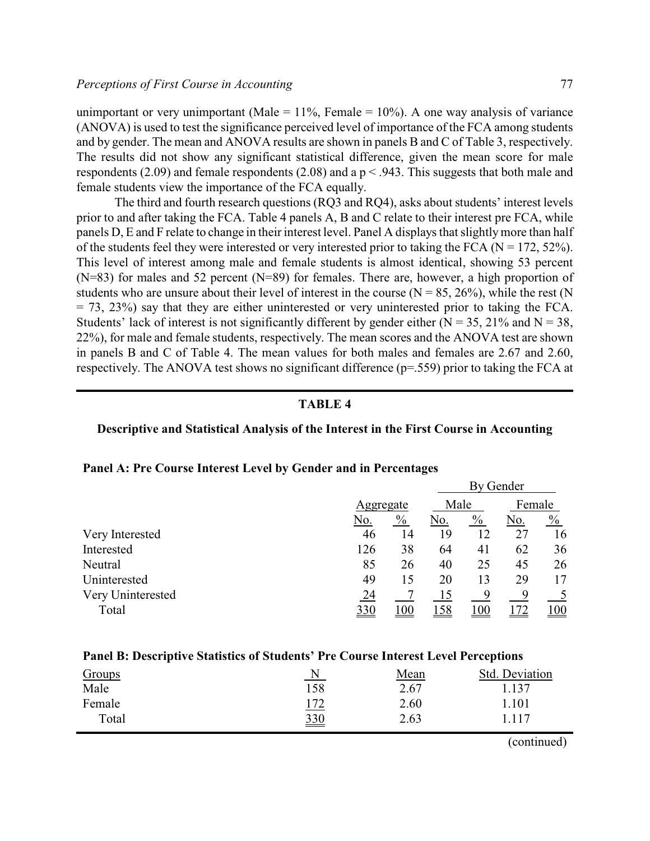unimportant or very unimportant (Male =  $11\%$ , Female =  $10\%$ ). A one way analysis of variance (ANOVA) is used to test the significance perceived level of importance of the FCA among students and by gender. The mean and ANOVA results are shown in panels B and C of Table 3, respectively. The results did not show any significant statistical difference, given the mean score for male respondents (2.09) and female respondents (2.08) and a  $p < .943$ . This suggests that both male and female students view the importance of the FCA equally.

The third and fourth research questions (RQ3 and RQ4), asks about students' interest levels prior to and after taking the FCA. Table 4 panels A, B and C relate to their interest pre FCA, while panels D, E and F relate to change in their interest level. Panel A displays that slightly more than half of the students feel they were interested or very interested prior to taking the FCA ( $N = 172, 52\%$ ). This level of interest among male and female students is almost identical, showing 53 percent (N=83) for males and 52 percent (N=89) for females. There are, however, a high proportion of students who are unsure about their level of interest in the course  $(N = 85, 26\%)$ , while the rest  $(N = 85, 26\%)$  $=$  73, 23%) say that they are either uninterested or very uninterested prior to taking the FCA. Students' lack of interest is not significantly different by gender either ( $N = 35$ , 21% and  $N = 38$ , 22%), for male and female students, respectively. The mean scores and the ANOVA test are shown in panels B and C of Table 4. The mean values for both males and females are 2.67 and 2.60, respectively. The ANOVA test shows no significant difference (p=.559) prior to taking the FCA at

## **TABLE 4**

## **Descriptive and Statistical Analysis of the Interest in the First Course in Accounting**

|                   |     |               |     |               | By Gender |               |
|-------------------|-----|---------------|-----|---------------|-----------|---------------|
|                   |     | Aggregate     |     | Male          |           | Female        |
|                   | No. | $\frac{0}{0}$ | No. | $\frac{0}{0}$ | No.       | $\frac{0}{0}$ |
| Very Interested   | 46  | 14            | 19  | 12            | 27        | 16            |
| Interested        | 126 | 38            | 64  | 41            | 62        | 36            |
| Neutral           | 85  | 26            | 40  | 25            | 45        | 26            |
| Uninterested      | 49  | 15            | 20  | 13            | 29        | 17            |
| Very Uninterested | 24  |               | 15  | 9             | 9         | 5             |
| Total             | 330 | 100           | 158 | 100           | 172       | 100           |

## **Panel A: Pre Course Interest Level by Gender and in Percentages**

## **Panel B: Descriptive Statistics of Students' Pre Course Interest Level Perceptions**

| Groups | $\mathbf N$     | Mean | Std. Deviation |
|--------|-----------------|------|----------------|
| Male   | 158             | 2.67 | 1.137          |
| Female | <u>172</u>      | 2.60 | .101           |
| Total  | $\frac{330}{2}$ | 2.63 | 1.117          |

(continued)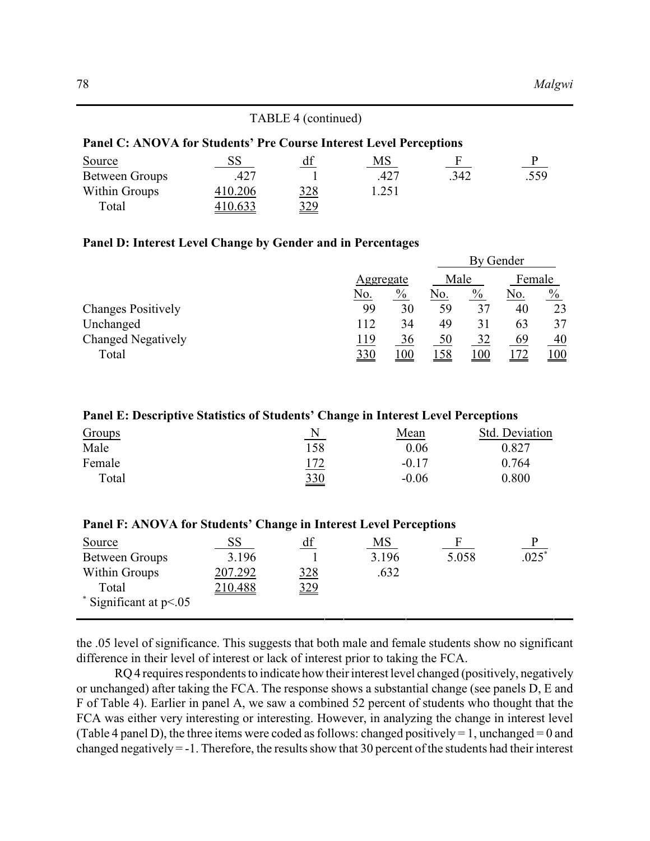| TABLE 4 (continued)                                                |         |            |       |              |      |
|--------------------------------------------------------------------|---------|------------|-------|--------------|------|
| Panel C: ANOVA for Students' Pre Course Interest Level Perceptions |         |            |       |              |      |
| Source                                                             | 55      | df         | MS    | $\mathbf{F}$ | P    |
| <b>Between Groups</b>                                              | .427    |            | .427  | .342         | .559 |
| Within Groups                                                      | 410.206 | <u>328</u> | 1.251 |              |      |
| Total                                                              | 10.633  | <u>329</u> |       |              |      |

## **Panel D: Interest Level Change by Gender and in Percentages**

|                           |                 |                 | By Gender |               |        |      |
|---------------------------|-----------------|-----------------|-----------|---------------|--------|------|
|                           | Aggregate       |                 | Male      |               | Female |      |
|                           | No.             | $\frac{0}{0}$   | No.       | $\frac{0}{0}$ | No.    | $\%$ |
| <b>Changes Positively</b> | 99              | 30              | 59        | 37            | 40     | 23   |
| Unchanged                 | 112             | 34              | 49        | 31            | 63     | 37   |
| <b>Changed Negatively</b> | 119             | 36              | 50        | 32            | 69     | 40   |
| Total                     | $\frac{330}{2}$ | $\overline{00}$ | 158       | 100           |        | 100  |

## **Panel E: Descriptive Statistics of Students' Change in Interest Level Perceptions**

| Groups | N   | Mean    | Std. Deviation |
|--------|-----|---------|----------------|
| Male   | 158 | 0.06    | 0.827          |
| Female | 172 | $-0.17$ | 0.764          |
| Total  | 330 | $-0.06$ | 0.800          |

| Panel F: ANOVA for Students' Change in Interest Level Perceptions |  |
|-------------------------------------------------------------------|--|
|-------------------------------------------------------------------|--|

| Source                         | $_{\rm SS}$ | df            | MS    |       |         |
|--------------------------------|-------------|---------------|-------|-------|---------|
| Between Groups                 | 3.196       |               | 3.196 | 5.058 | $.025*$ |
| Within Groups                  | 207.292     | <u>328</u>    | .632  |       |         |
| Total                          | 210.488     | $rac{329}{2}$ |       |       |         |
| $\degree$ Significant at p<.05 |             |               |       |       |         |

the .05 level of significance. This suggests that both male and female students show no significant difference in their level of interest or lack of interest prior to taking the FCA.

RQ 4 requires respondents to indicate how their interest level changed (positively, negatively or unchanged) after taking the FCA. The response shows a substantial change (see panels D, E and F of Table 4). Earlier in panel A, we saw a combined 52 percent of students who thought that the FCA was either very interesting or interesting. However, in analyzing the change in interest level (Table 4 panel D), the three items were coded as follows: changed positively = 1, unchanged = 0 and changed negatively  $= -1$ . Therefore, the results show that 30 percent of the students had their interest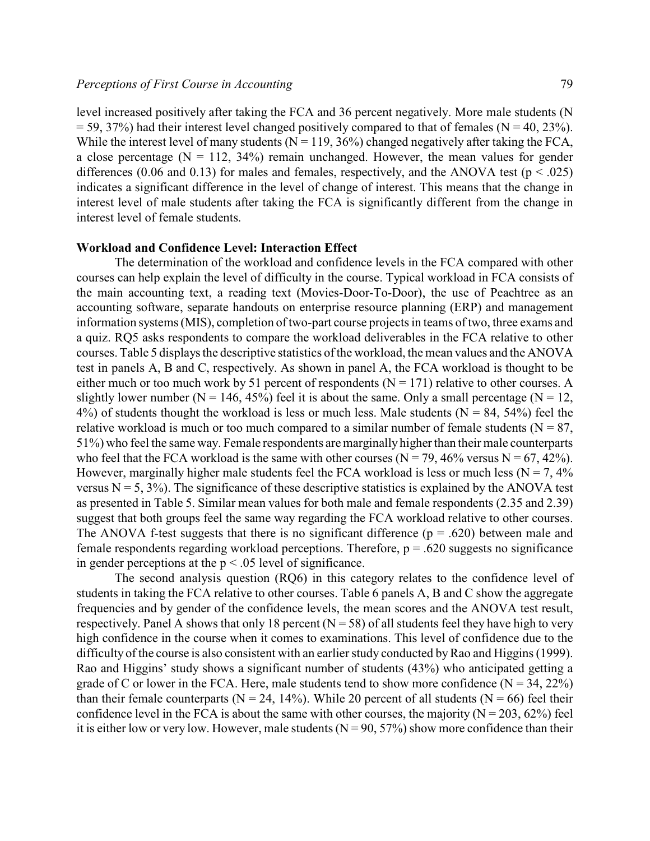level increased positively after taking the FCA and 36 percent negatively. More male students (N  $=$  59, 37%) had their interest level changed positively compared to that of females (N = 40, 23%). While the interest level of many students ( $N = 119, 36\%$ ) changed negatively after taking the FCA, a close percentage  $(N = 112, 34%)$  remain unchanged. However, the mean values for gender differences (0.06 and 0.13) for males and females, respectively, and the ANOVA test ( $p < .025$ ) indicates a significant difference in the level of change of interest. This means that the change in interest level of male students after taking the FCA is significantly different from the change in interest level of female students.

#### **Workload and Confidence Level: Interaction Effect**

The determination of the workload and confidence levels in the FCA compared with other courses can help explain the level of difficulty in the course. Typical workload in FCA consists of the main accounting text, a reading text (Movies-Door-To-Door), the use of Peachtree as an accounting software, separate handouts on enterprise resource planning (ERP) and management information systems (MIS), completion of two-part course projects in teams of two, three exams and a quiz. RQ5 asks respondents to compare the workload deliverables in the FCA relative to other courses. Table 5 displays the descriptive statistics of the workload, the mean values and the ANOVA test in panels A, B and C, respectively. As shown in panel A, the FCA workload is thought to be either much or too much work by 51 percent of respondents ( $N = 171$ ) relative to other courses. A slightly lower number ( $N = 146, 45\%$ ) feel it is about the same. Only a small percentage ( $N = 12$ ,  $4\%$ ) of students thought the workload is less or much less. Male students (N = 84, 54%) feel the relative workload is much or too much compared to a similar number of female students ( $N = 87$ , 51%) who feel the same way. Female respondents aremarginallyhigher than their male counterparts who feel that the FCA workload is the same with other courses ( $N = 79,46\%$  versus  $N = 67,42\%$ ). However, marginally higher male students feel the FCA workload is less or much less ( $N = 7, 4\%$ ) versus  $N = 5$ , 3%). The significance of these descriptive statistics is explained by the ANOVA test as presented in Table 5. Similar mean values for both male and female respondents (2.35 and 2.39) suggest that both groups feel the same way regarding the FCA workload relative to other courses. The ANOVA f-test suggests that there is no significant difference ( $p = .620$ ) between male and female respondents regarding workload perceptions. Therefore,  $p = .620$  suggests no significance in gender perceptions at the  $p < .05$  level of significance.

The second analysis question (RQ6) in this category relates to the confidence level of students in taking the FCA relative to other courses. Table 6 panels A, B and C show the aggregate frequencies and by gender of the confidence levels, the mean scores and the ANOVA test result, respectively. Panel A shows that only 18 percent ( $N = 58$ ) of all students feel they have high to very high confidence in the course when it comes to examinations. This level of confidence due to the difficulty of the course is also consistent with an earlier study conducted by Rao and Higgins (1999). Rao and Higgins' study shows a significant number of students (43%) who anticipated getting a grade of C or lower in the FCA. Here, male students tend to show more confidence  $(N = 34, 22\%)$ than their female counterparts ( $N = 24$ , 14%). While 20 percent of all students ( $N = 66$ ) feel their confidence level in the FCA is about the same with other courses, the majority ( $N = 203, 62\%$ ) feel it is either low or very low. However, male students ( $N = 90, 57\%$ ) show more confidence than their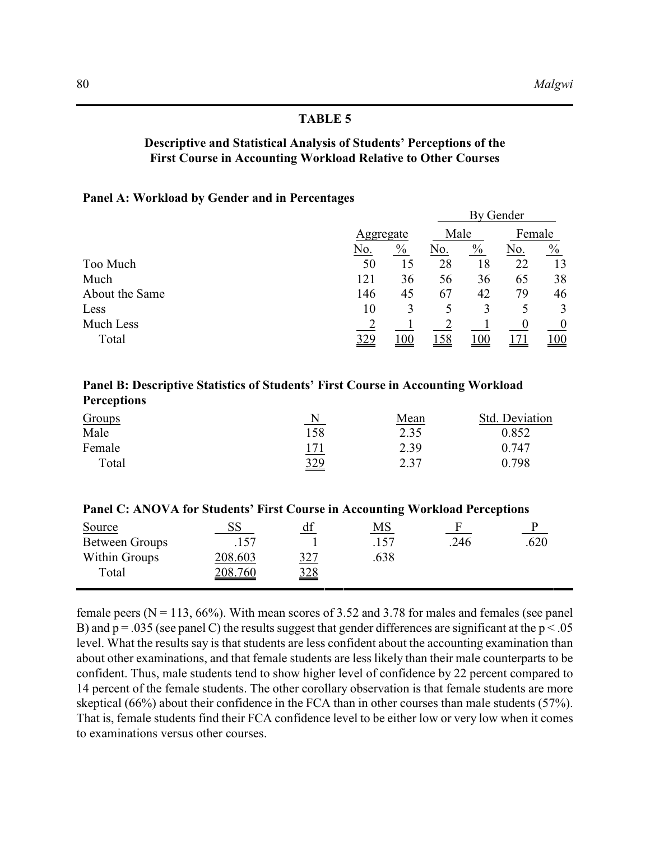## **Descriptive and Statistical Analysis of Students' Perceptions of the First Course in Accounting Workload Relative to Other Courses**

## **Panel A: Workload by Gender and in Percentages**

|                |           |               |      |               | By Gender |                  |
|----------------|-----------|---------------|------|---------------|-----------|------------------|
|                | Aggregate |               | Male |               | Female    |                  |
|                | No.       | $\frac{0}{0}$ | No.  | $\frac{0}{0}$ | No.       | $\frac{0}{0}$    |
| Too Much       | 50        | 15            | 28   | 18            | 22        | 13               |
| Much           | 121       | 36            | 56   | 36            | 65        | 38               |
| About the Same | 146       | 45            | 67   | 42            | 79        | 46               |
| Less           | 10        | 3             |      | 3             |           | 3                |
| Much Less      |           |               |      |               |           | $\boldsymbol{0}$ |
| Total          | 329       | $00_1$        | 158  | <u> 100</u>   |           | <u> 100</u>      |

## **Panel B: Descriptive Statistics of Students' First Course in Accounting Workload Perceptions**

| Groups | N   | Mean | Std. Deviation |
|--------|-----|------|----------------|
| Male   | 158 | 2.35 | 0.852          |
| Female | 171 | 2.39 | 0.747          |
| Total  | 329 | 2.37 | 0.798          |

| Panel C: ANOVA for Students' First Course in Accounting Workload Perceptions |  |    |  |
|------------------------------------------------------------------------------|--|----|--|
| Source                                                                       |  | MS |  |

| Source         | בכ             | uı              | <b>IVI D</b> |     |      |
|----------------|----------------|-----------------|--------------|-----|------|
| Between Groups | 157            |                 |              | 246 | .620 |
| Within Groups  | 208.603        | <u>327</u>      | 638          |     |      |
| Total          | <u>208.760</u> | $\frac{328}{2}$ |              |     |      |
|                |                |                 |              |     |      |

female peers ( $N = 113$ , 66%). With mean scores of 3.52 and 3.78 for males and females (see panel) B) and  $p = .035$  (see panel C) the results suggest that gender differences are significant at the  $p < .05$ level. What the results say is that students are less confident about the accounting examination than about other examinations, and that female students are less likely than their male counterparts to be confident. Thus, male students tend to show higher level of confidence by 22 percent compared to 14 percent of the female students. The other corollary observation is that female students are more skeptical (66%) about their confidence in the FCA than in other courses than male students (57%). That is, female students find their FCA confidence level to be either low or very low when it comes to examinations versus other courses.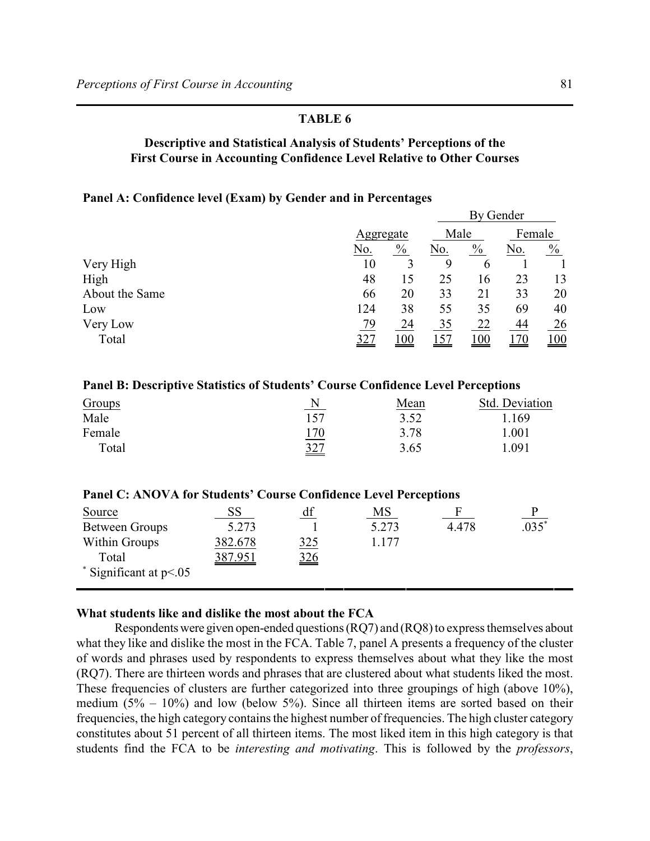## **Descriptive and Statistical Analysis of Students' Perceptions of the First Course in Accounting Confidence Level Relative to Other Courses**

## **Panel A: Confidence level (Exam) by Gender and in Percentages**

|                |     |               |     |               | By Gender |               |
|----------------|-----|---------------|-----|---------------|-----------|---------------|
|                |     | Aggregate     |     | Male          |           | Female        |
|                | No. | $\frac{0}{0}$ | No. | $\frac{0}{0}$ | No.       | $\frac{0}{0}$ |
| Very High      | 10  |               | 9   | 6             |           |               |
| High           | 48  | 15            | 25  | 16            | 23        | 13            |
| About the Same | 66  | 20            | 33  | 21            | 33        | 20            |
| Low            | 124 | 38            | 55  | 35            | 69        | 40            |
| Very Low       | 79  | 24            | 35  | 22            | 44        | 26            |
| Total          | 327 | 100           | 157 | 100           |           | 100           |

## **Panel B: Descriptive Statistics of Students' Course Confidence Level Perceptions**

| Groups | N               | Mean | Std. Deviation |
|--------|-----------------|------|----------------|
| Male   | 157             | 3.52 | .169           |
| Female | 170             | 3.78 | .001           |
| Total  | $\frac{327}{2}$ | 3.65 | .091           |

| Panel C: ANOVA for Students' Course Confidence Level Perceptions |                 |               |         |       |               |
|------------------------------------------------------------------|-----------------|---------------|---------|-------|---------------|
| Source                                                           | 55 <sub>1</sub> | df            | MS      |       | $\frac{P}{P}$ |
| <b>Between Groups</b>                                            | 5.273           |               | 5.273   | 4.478 | $.035^{*}$    |
| Within Groups                                                    | 382.678         | 325           | 1 1 7 7 |       |               |
| Total                                                            | 387.951         | $rac{326}{1}$ |         |       |               |
| $\degree$ Significant at p<.05                                   |                 |               |         |       |               |

## **What students like and dislike the most about the FCA**

Respondents were given open-ended questions (RQ7) and (RQ8) to express themselves about what they like and dislike the most in the FCA. Table 7, panel A presents a frequency of the cluster of words and phrases used by respondents to express themselves about what they like the most (RQ7). There are thirteen words and phrases that are clustered about what students liked the most. These frequencies of clusters are further categorized into three groupings of high (above 10%), medium  $(5\% - 10\%)$  and low (below 5%). Since all thirteen items are sorted based on their frequencies, the high category contains the highest number of frequencies. The high cluster category constitutes about 51 percent of all thirteen items. The most liked item in this high category is that students find the FCA to be *interesting and motivating*. This is followed by the *professors*,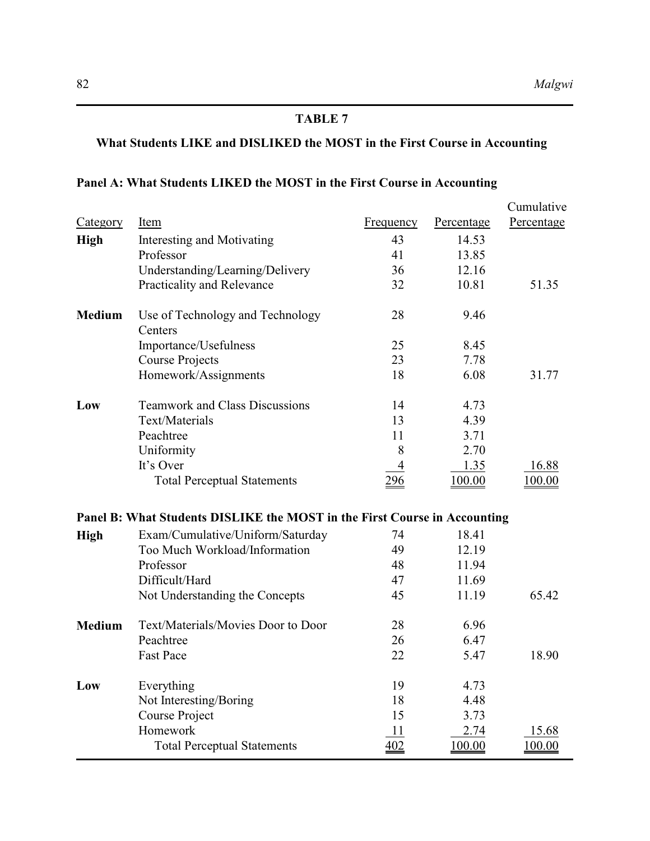# **What Students LIKE and DISLIKED the MOST in the First Course in Accounting**

## **Panel A: What Students LIKED the MOST in the First Course in Accounting**

|                 |                                                                           |                |            | Cumulative    |
|-----------------|---------------------------------------------------------------------------|----------------|------------|---------------|
| <b>Category</b> | Item                                                                      | Frequency      | Percentage | Percentage    |
| <b>High</b>     | Interesting and Motivating                                                | 43             | 14.53      |               |
|                 | Professor                                                                 | 41             | 13.85      |               |
|                 | Understanding/Learning/Delivery                                           | 36             | 12.16      |               |
|                 | Practicality and Relevance                                                | 32             | 10.81      | 51.35         |
| <b>Medium</b>   | Use of Technology and Technology<br>Centers                               | 28             | 9.46       |               |
|                 | Importance/Usefulness                                                     | 25             | 8.45       |               |
|                 | <b>Course Projects</b>                                                    | 23             | 7.78       |               |
|                 | Homework/Assignments                                                      | 18             | 6.08       | 31.77         |
| Low             | <b>Teamwork and Class Discussions</b>                                     | 14             | 4.73       |               |
|                 | Text/Materials                                                            | 13             | 4.39       |               |
|                 | Peachtree                                                                 | 11             | 3.71       |               |
|                 | Uniformity                                                                | 8              | 2.70       |               |
|                 | It's Over                                                                 | $\overline{4}$ | 1.35       | 16.88         |
|                 | <b>Total Perceptual Statements</b>                                        | 296            | 100.00     | 100.00        |
|                 | Panel B: What Students DISLIKE the MOST in the First Course in Accounting |                |            |               |
| <b>High</b>     | Exam/Cumulative/Uniform/Saturday                                          | 74             | 18.41      |               |
|                 | Too Much Workload/Information                                             | 49             | 12.19      |               |
|                 | Professor                                                                 | 48             | 11.94      |               |
|                 | Difficult/Hard                                                            | 47             | 11.69      |               |
|                 | Not Understanding the Concepts                                            | 45             | 11.19      | 65.42         |
| <b>Medium</b>   | Text/Materials/Movies Door to Door                                        | 28             | 6.96       |               |
|                 | Peachtree                                                                 | 26             | 6.47       |               |
|                 | <b>Fast Pace</b>                                                          | 22             | 5.47       | 18.90         |
| Low             | Everything                                                                | 19             | 4.73       |               |
|                 | Not Interesting/Boring                                                    | 18             | 4.48       |               |
|                 | Course Project                                                            | 15             | 3.73       |               |
|                 | Homework                                                                  | 11             | 2.74       | 15.68         |
|                 | <b>Total Perceptual Statements</b>                                        | 402            | 100.00     | <u>100.00</u> |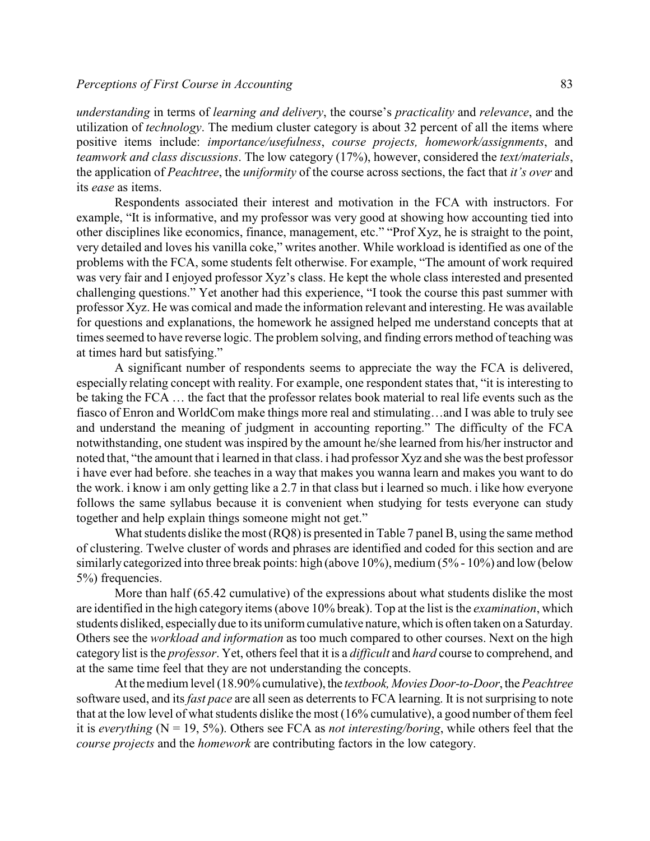*understanding* in terms of *learning and delivery*, the course's *practicality* and *relevance*, and the utilization of *technology*. The medium cluster category is about 32 percent of all the items where positive items include: *importance/usefulness*, *course projects, homework/assignments*, and *teamwork and class discussions*. The low category (17%), however, considered the *text/materials*, the application of *Peachtree*, the *uniformity* of the course across sections, the fact that *it's over* and its *ease* as items.

Respondents associated their interest and motivation in the FCA with instructors. For example, "It is informative, and my professor was very good at showing how accounting tied into other disciplines like economics, finance, management, etc." "Prof Xyz, he is straight to the point, very detailed and loves his vanilla coke," writes another. While workload is identified as one of the problems with the FCA, some students felt otherwise. For example, "The amount of work required was very fair and I enjoyed professor Xyz's class. He kept the whole class interested and presented challenging questions." Yet another had this experience, "I took the course this past summer with professor Xyz. He was comical and made the information relevant and interesting. He was available for questions and explanations, the homework he assigned helped me understand concepts that at times seemed to have reverse logic. The problem solving, and finding errors method of teaching was at times hard but satisfying."

A significant number of respondents seems to appreciate the way the FCA is delivered, especially relating concept with reality. For example, one respondent states that, "it is interesting to be taking the FCA … the fact that the professor relates book material to real life events such as the fiasco of Enron and WorldCom make things more real and stimulating…and I was able to truly see and understand the meaning of judgment in accounting reporting." The difficulty of the FCA notwithstanding, one student was inspired by the amount he/she learned from his/her instructor and noted that, "the amount that i learned in that class. i had professor Xyz and she was the best professor i have ever had before. she teaches in a way that makes you wanna learn and makes you want to do the work. i know i am only getting like a 2.7 in that class but i learned so much. i like how everyone follows the same syllabus because it is convenient when studying for tests everyone can study together and help explain things someone might not get."

What students dislike the most (RQ8) is presented in Table 7 panel B, using the same method of clustering. Twelve cluster of words and phrases are identified and coded for this section and are similarly categorized into three break points: high (above 10%), medium (5% - 10%) and low (below 5%) frequencies.

More than half (65.42 cumulative) of the expressions about what students dislike the most are identified in the high category items (above 10% break). Top at the list is the *examination*, which students disliked, especially due to its uniform cumulative nature, which is often taken on a Saturday. Others see the *workload and information* as too much compared to other courses. Next on the high category list is the *professor*. Yet, others feel that it is a *difficult* and *hard* course to comprehend, and at the same time feel that they are not understanding the concepts.

At the medium level (18.90% cumulative), the *textbook, Movies Door-to-Door*, the *Peachtree* software used, and its *fast pace* are all seen as deterrents to FCA learning. It is not surprising to note that at the low level of what students dislike the most (16% cumulative), a good number of them feel it is *everything* ( $N = 19, 5\%$ ). Others see FCA as *not interesting/boring*, while others feel that the *course projects* and the *homework* are contributing factors in the low category.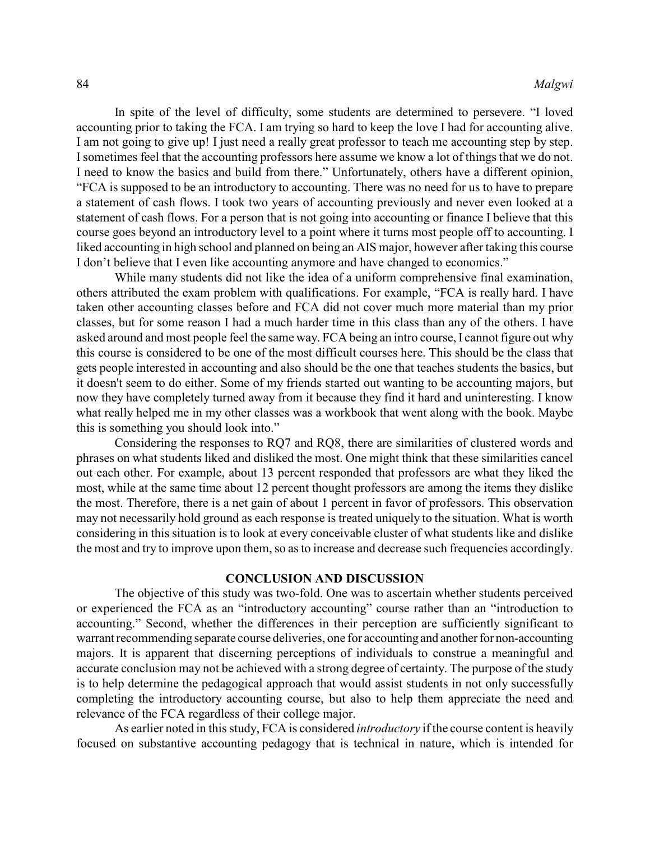In spite of the level of difficulty, some students are determined to persevere. "I loved accounting prior to taking the FCA. I am trying so hard to keep the love I had for accounting alive. I am not going to give up! I just need a really great professor to teach me accounting step by step. I sometimes feel that the accounting professors here assume we know a lot of things that we do not. I need to know the basics and build from there." Unfortunately, others have a different opinion, "FCA is supposed to be an introductory to accounting. There was no need for us to have to prepare a statement of cash flows. I took two years of accounting previously and never even looked at a statement of cash flows. For a person that is not going into accounting or finance I believe that this course goes beyond an introductory level to a point where it turns most people off to accounting. I liked accounting in high school and planned on being an AIS major, however after taking this course I don't believe that I even like accounting anymore and have changed to economics."

While many students did not like the idea of a uniform comprehensive final examination, others attributed the exam problem with qualifications. For example, "FCA is really hard. I have taken other accounting classes before and FCA did not cover much more material than my prior classes, but for some reason I had a much harder time in this class than any of the others. I have asked around and most people feel the same way. FCA being an intro course, I cannot figure out why this course is considered to be one of the most difficult courses here. This should be the class that gets people interested in accounting and also should be the one that teaches students the basics, but it doesn't seem to do either. Some of my friends started out wanting to be accounting majors, but now they have completely turned away from it because they find it hard and uninteresting. I know what really helped me in my other classes was a workbook that went along with the book. Maybe this is something you should look into."

Considering the responses to RQ7 and RQ8, there are similarities of clustered words and phrases on what students liked and disliked the most. One might think that these similarities cancel out each other. For example, about 13 percent responded that professors are what they liked the most, while at the same time about 12 percent thought professors are among the items they dislike the most. Therefore, there is a net gain of about 1 percent in favor of professors. This observation may not necessarily hold ground as each response is treated uniquely to the situation. What is worth considering in this situation is to look at every conceivable cluster of what students like and dislike the most and try to improve upon them, so as to increase and decrease such frequencies accordingly.

## **CONCLUSION AND DISCUSSION**

The objective of this study was two-fold. One was to ascertain whether students perceived or experienced the FCA as an "introductory accounting" course rather than an "introduction to accounting." Second, whether the differences in their perception are sufficiently significant to warrant recommending separate course deliveries, one for accounting and another for non-accounting majors. It is apparent that discerning perceptions of individuals to construe a meaningful and accurate conclusion may not be achieved with a strong degree of certainty. The purpose of the study is to help determine the pedagogical approach that would assist students in not only successfully completing the introductory accounting course, but also to help them appreciate the need and relevance of the FCA regardless of their college major.

As earlier noted in this study, FCA is considered *introductory* if the course content is heavily focused on substantive accounting pedagogy that is technical in nature, which is intended for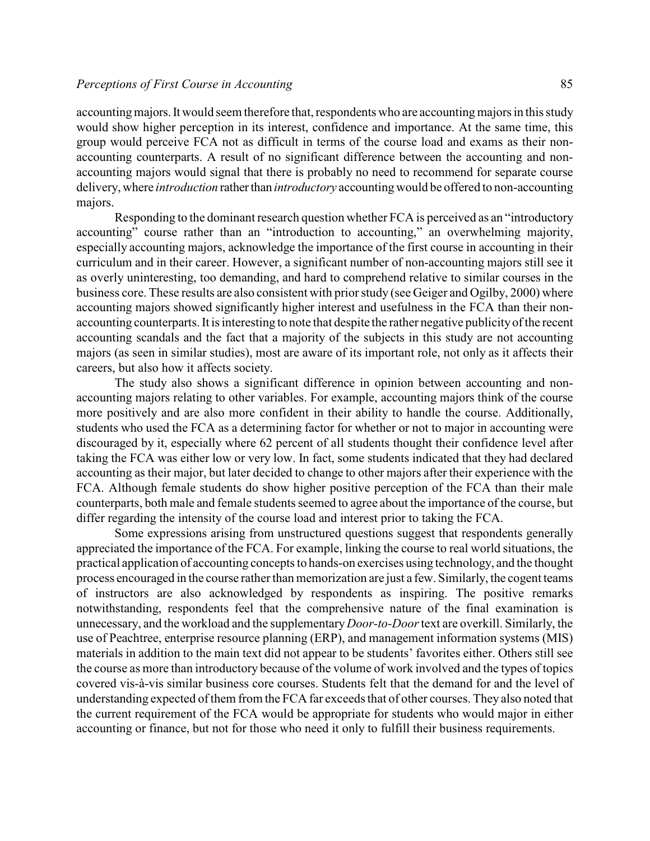accounting majors. It would seem therefore that, respondents who are accounting majors in this study would show higher perception in its interest, confidence and importance. At the same time, this group would perceive FCA not as difficult in terms of the course load and exams as their nonaccounting counterparts. A result of no significant difference between the accounting and nonaccounting majors would signal that there is probably no need to recommend for separate course delivery, where *introduction* rather than *introductory* accounting would be offered to non-accounting majors.

Responding to the dominant research question whether FCA is perceived as an "introductory accounting" course rather than an "introduction to accounting," an overwhelming majority, especially accounting majors, acknowledge the importance of the first course in accounting in their curriculum and in their career. However, a significant number of non-accounting majors still see it as overly uninteresting, too demanding, and hard to comprehend relative to similar courses in the business core. These results are also consistent with prior study (see Geiger and Ogilby, 2000) where accounting majors showed significantly higher interest and usefulness in the FCA than their nonaccounting counterparts. It is interesting to note that despite the rather negative publicity of the recent accounting scandals and the fact that a majority of the subjects in this study are not accounting majors (as seen in similar studies), most are aware of its important role, not only as it affects their careers, but also how it affects society.

The study also shows a significant difference in opinion between accounting and nonaccounting majors relating to other variables. For example, accounting majors think of the course more positively and are also more confident in their ability to handle the course. Additionally, students who used the FCA as a determining factor for whether or not to major in accounting were discouraged by it, especially where 62 percent of all students thought their confidence level after taking the FCA was either low or very low. In fact, some students indicated that they had declared accounting as their major, but later decided to change to other majors after their experience with the FCA. Although female students do show higher positive perception of the FCA than their male counterparts, both male and female students seemed to agree about the importance of the course, but differ regarding the intensity of the course load and interest prior to taking the FCA.

Some expressions arising from unstructured questions suggest that respondents generally appreciated the importance of the FCA. For example, linking the course to real world situations, the practical application of accounting concepts to hands-on exercises using technology, and the thought process encouraged in the course rather than memorization are just a few. Similarly, the cogent teams of instructors are also acknowledged by respondents as inspiring. The positive remarks notwithstanding, respondents feel that the comprehensive nature of the final examination is unnecessary, and the workload and the supplementary *Door-to-Door* text are overkill. Similarly, the use of Peachtree, enterprise resource planning (ERP), and management information systems (MIS) materials in addition to the main text did not appear to be students' favorites either. Others still see the course as more than introductory because of the volume of work involved and the types of topics covered vis-à-vis similar business core courses. Students felt that the demand for and the level of understanding expected of them from the FCA far exceeds that of other courses. They also noted that the current requirement of the FCA would be appropriate for students who would major in either accounting or finance, but not for those who need it only to fulfill their business requirements.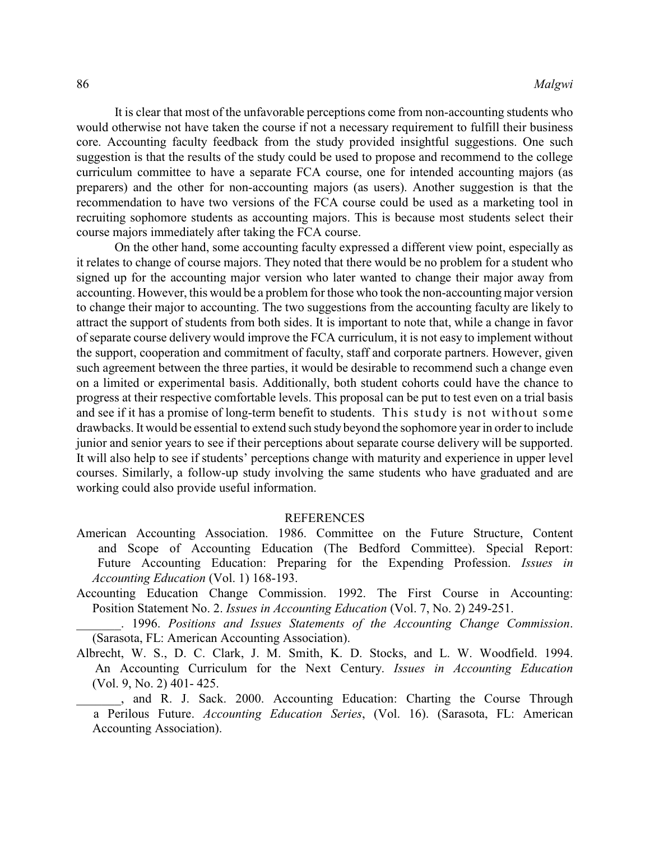It is clear that most of the unfavorable perceptions come from non-accounting students who would otherwise not have taken the course if not a necessary requirement to fulfill their business core. Accounting faculty feedback from the study provided insightful suggestions. One such suggestion is that the results of the study could be used to propose and recommend to the college curriculum committee to have a separate FCA course, one for intended accounting majors (as preparers) and the other for non-accounting majors (as users). Another suggestion is that the recommendation to have two versions of the FCA course could be used as a marketing tool in recruiting sophomore students as accounting majors. This is because most students select their course majors immediately after taking the FCA course.

On the other hand, some accounting faculty expressed a different view point, especially as it relates to change of course majors. They noted that there would be no problem for a student who signed up for the accounting major version who later wanted to change their major away from accounting. However, this would be a problem for those who took the non-accounting major version to change their major to accounting. The two suggestions from the accounting faculty are likely to attract the support of students from both sides. It is important to note that, while a change in favor of separate course delivery would improve the FCA curriculum, it is not easy to implement without the support, cooperation and commitment of faculty, staff and corporate partners. However, given such agreement between the three parties, it would be desirable to recommend such a change even on a limited or experimental basis. Additionally, both student cohorts could have the chance to progress at their respective comfortable levels. This proposal can be put to test even on a trial basis and see if it has a promise of long-term benefit to students. This study is not without some drawbacks. It would be essential to extend such study beyond the sophomore year in order to include junior and senior years to see if their perceptions about separate course delivery will be supported. It will also help to see if students' perceptions change with maturity and experience in upper level courses. Similarly, a follow-up study involving the same students who have graduated and are working could also provide useful information.

#### REFERENCES

- American Accounting Association. 1986. Committee on the Future Structure, Content and Scope of Accounting Education (The Bedford Committee). Special Report: Future Accounting Education: Preparing for the Expending Profession. *Issues in Accounting Education* (Vol. 1) 168-193.
- Accounting Education Change Commission. 1992. The First Course in Accounting: Position Statement No. 2. *Issues in Accounting Education* (Vol. 7, No. 2) 249-251.

\_\_\_\_\_\_\_. 1996. *Positions and Issues Statements of the Accounting Change Commission*. (Sarasota, FL: American Accounting Association).

Albrecht, W. S., D. C. Clark, J. M. Smith, K. D. Stocks, and L. W. Woodfield. 1994. An Accounting Curriculum for the Next Century. *Issues in Accounting Education* (Vol. 9, No. 2) 401- 425.

., and R. J. Sack. 2000. Accounting Education: Charting the Course Through a Perilous Future. *Accounting Education Series*, (Vol. 16). (Sarasota, FL: American Accounting Association).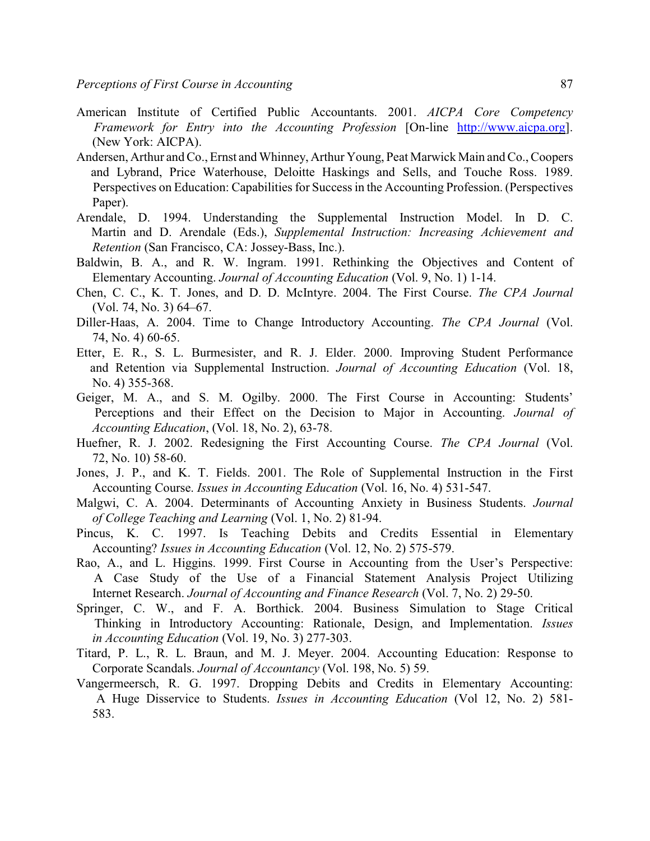- American Institute of Certified Public Accountants. 2001. *AICPA Core Competency Framework for Entry into the Accounting Profession* [On-line <http://www.aicpa.org>]. (New York: AICPA).
- Andersen, Arthur and Co., Ernst and Whinney, Arthur Young, Peat Marwick Main and Co., Coopers and Lybrand, Price Waterhouse, Deloitte Haskings and Sells, and Touche Ross. 1989. Perspectives on Education: Capabilities for Success in the Accounting Profession. (Perspectives Paper).
- Arendale, D. 1994. Understanding the Supplemental Instruction Model. In D. C. Martin and D. Arendale (Eds.), *Supplemental Instruction: Increasing Achievement and Retention* (San Francisco, CA: Jossey-Bass, Inc.).
- Baldwin, B. A., and R. W. Ingram. 1991. Rethinking the Objectives and Content of Elementary Accounting. *Journal of Accounting Education* (Vol. 9, No. 1) 1-14.
- Chen, C. C., K. T. Jones, and D. D. McIntyre. 2004. The First Course. *The CPA Journal* (Vol. 74, No. 3) 64–67.
- Diller-Haas, A. 2004. Time to Change Introductory Accounting. *The CPA Journal* (Vol. 74, No. 4) 60-65.
- Etter, E. R., S. L. Burmesister, and R. J. Elder. 2000. Improving Student Performance and Retention via Supplemental Instruction. *Journal of Accounting Education* (Vol. 18, No. 4) 355-368.
- Geiger, M. A., and S. M. Ogilby. 2000. The First Course in Accounting: Students' Perceptions and their Effect on the Decision to Major in Accounting. *Journal of Accounting Education*, (Vol. 18, No. 2), 63-78.
- Huefner, R. J. 2002. Redesigning the First Accounting Course. *The CPA Journal* (Vol. 72, No. 10) 58-60.
- Jones, J. P., and K. T. Fields. 2001. The Role of Supplemental Instruction in the First Accounting Course. *Issues in Accounting Education* (Vol. 16, No. 4) 531-547.
- Malgwi, C. A. 2004. Determinants of Accounting Anxiety in Business Students. *Journal of College Teaching and Learning* (Vol. 1, No. 2) 81-94.
- Pincus, K. C. 1997. Is Teaching Debits and Credits Essential in Elementary Accounting? *Issues in Accounting Education* (Vol. 12, No. 2) 575-579.
- Rao, A., and L. Higgins. 1999. First Course in Accounting from the User's Perspective: A Case Study of the Use of a Financial Statement Analysis Project Utilizing Internet Research. *Journal of Accounting and Finance Research* (Vol. 7, No. 2) 29-50.
- Springer, C. W., and F. A. Borthick. 2004. Business Simulation to Stage Critical Thinking in Introductory Accounting: Rationale, Design, and Implementation. *Issues in Accounting Education* (Vol. 19, No. 3) 277-303.
- Titard, P. L., R. L. Braun, and M. J. Meyer. 2004. Accounting Education: Response to Corporate Scandals. *Journal of Accountancy* (Vol. 198, No. 5) 59.
- Vangermeersch, R. G. 1997. Dropping Debits and Credits in Elementary Accounting: A Huge Disservice to Students. *Issues in Accounting Education* (Vol 12, No. 2) 581- 583.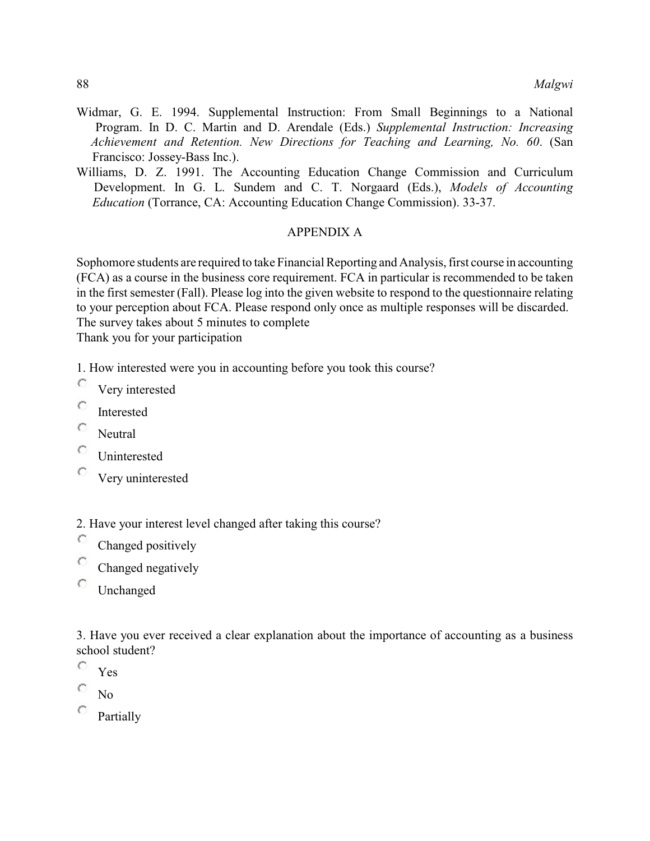- Widmar, G. E. 1994. Supplemental Instruction: From Small Beginnings to a National Program. In D. C. Martin and D. Arendale (Eds.) *Supplemental Instruction: Increasing Achievement and Retention. New Directions for Teaching and Learning, No. 60*. (San Francisco: Jossey-Bass Inc.).
- Williams, D. Z. 1991. The Accounting Education Change Commission and Curriculum Development. In G. L. Sundem and C. T. Norgaard (Eds.), *Models of Accounting Education* (Torrance, CA: Accounting Education Change Commission). 33-37.

## APPENDIX A

Sophomore students are required to take Financial Reporting and Analysis, first course in accounting (FCA) as a course in the business core requirement. FCA in particular is recommended to be taken in the first semester (Fall). Please log into the given website to respond to the questionnaire relating to your perception about FCA. Please respond only once as multiple responses will be discarded. The survey takes about 5 minutes to complete

Thank you for your participation

1. How interested were you in accounting before you took this course?

- с Very interested
- Ō Interested
- C. Neutral
- c Uninterested
- o Very uninterested

2. Have your interest level changed after taking this course?

- C Changed positively
- с Changed negatively
- о Unchanged

3. Have you ever received a clear explanation about the importance of accounting as a business school student?

- O Yes
- No
- Partially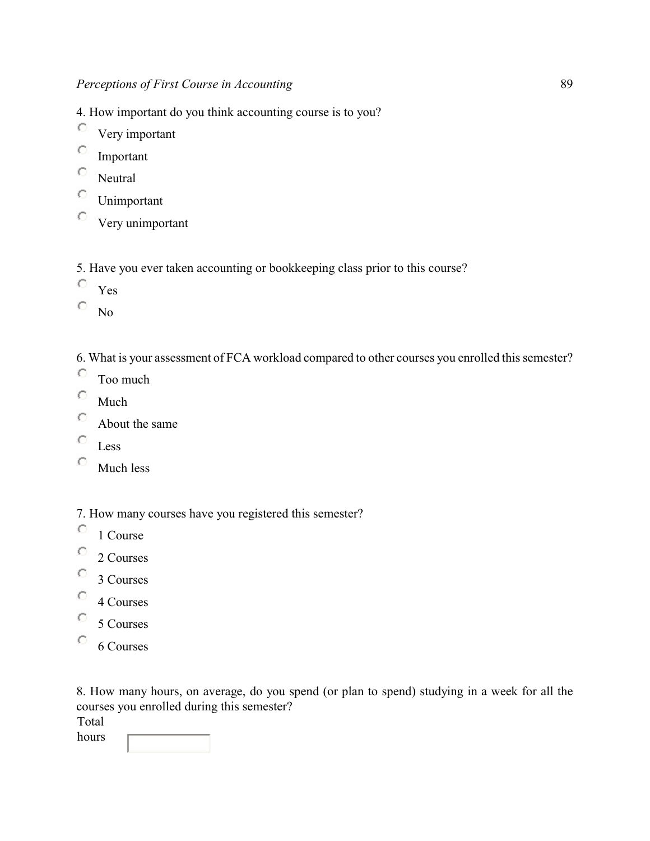4. How important do you think accounting course is to you?

- C Very important
- C Important
- O Neutral
- O Unimportant
- $\circ$ Very unimportant

5. Have you ever taken accounting or bookkeeping class prior to this course?

- C Yes
- O No

6. What is your assessment of FCA workload compared to other courses you enrolled this semester?

- O Too much
- O Much
- O About the same
- O Less
- O Much less

7. How many courses have you registered this semester?

- O 1 Course
- O 2 Courses
- о 3 Courses
- O 4 Courses
- O 5 Courses
- O 6 Courses

8. How many hours, on average, do you spend (or plan to spend) studying in a week for all the courses you enrolled during this semester?

Total

hours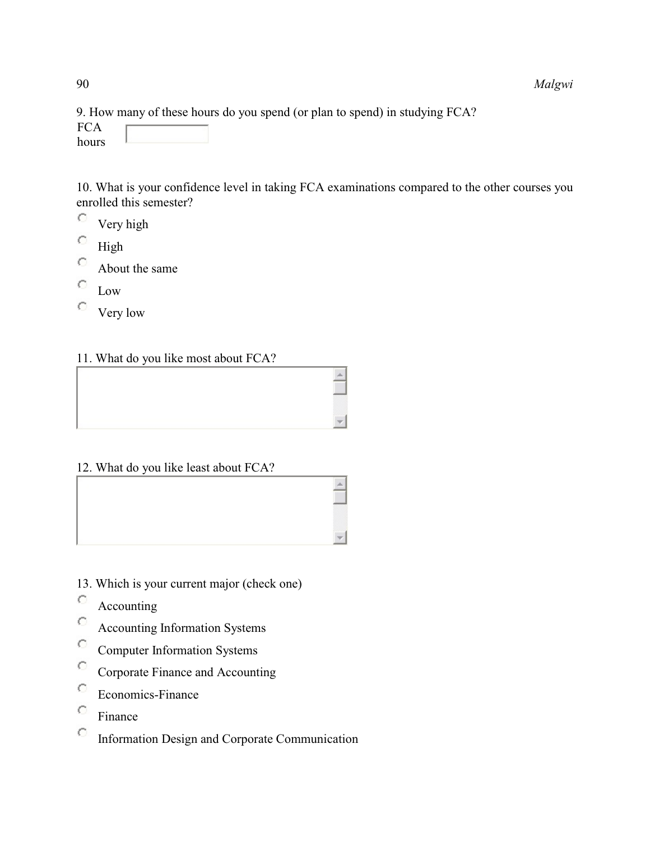9. How many of these hours do you spend (or plan to spend) in studying FCA?

**FCA** hours

10. What is your confidence level in taking FCA examinations compared to the other courses you enrolled this semester?

- $\circ$ Very high
- C High
- Ċ About the same
- O Low
- O Very low

11. What do you like most about FCA?

|   | ,,,,,      |
|---|------------|
|   | ×<br>,,,,, |
| ı |            |

12. What do you like least about FCA?

- 13. Which is your current major (check one)
- O Accounting
- Ö Accounting Information Systems
- Ö Computer Information Systems
- $\circ$ Corporate Finance and Accounting
- $\circ$ Economics-Finance
- $\circ$ Finance
- $\circ$ Information Design and Corporate Communication